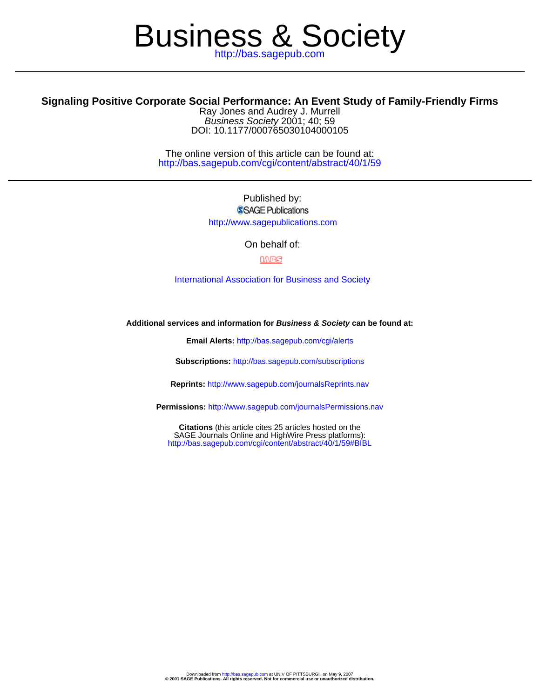# Business & Society

# **Signaling Positive Corporate Social Performance: An Event Study of Family-Friendly Firms**

DOI: 10.1177/000765030104000105 Business Society 2001; 40; 59 Ray Jones and Audrey J. Murrell

http://bas.sagepub.com/cgi/content/abstract/40/1/59 The online version of this article can be found at:

> Published by: SSAGE Publications http://www.sagepublications.com

> > On behalf of:

**IABS** 

[International Association for Business and Society](http://www.iabs.net)

**Additional services and information for Business & Society can be found at:**

**Email Alerts:** <http://bas.sagepub.com/cgi/alerts>

**Subscriptions:** <http://bas.sagepub.com/subscriptions>

**Reprints:** <http://www.sagepub.com/journalsReprints.nav>

**Permissions:** <http://www.sagepub.com/journalsPermissions.nav>

<http://bas.sagepub.com/cgi/content/abstract/40/1/59#BIBL> SAGE Journals Online and HighWire Press platforms): **Citations** (this article cites 25 articles hosted on the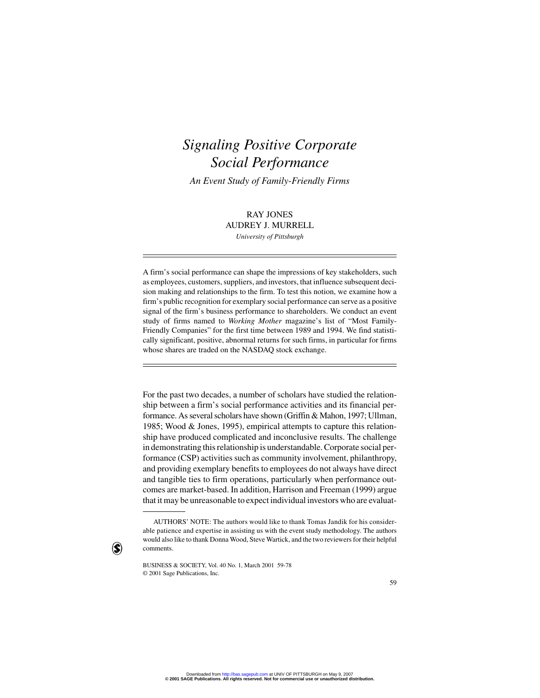# *Signaling Positive Corporate Social Performance*

*An Event Study of Family-Friendly Firms*

# RAY JONES AUDREY J. MURRELL

*University of Pittsburgh*

A firm's social performance can shape the impressions of key stakeholders, such as employees, customers, suppliers, and investors, that influence subsequent decision making and relationships to the firm. To test this notion, we examine how a firm's public recognition for exemplary social performance can serve as a positive signal of the firm's business performance to shareholders. We conduct an event study of firms named to *Working Mother* magazine's list of "Most Family-Friendly Companies" for the first time between 1989 and 1994. We find statistically significant, positive, abnormal returns for such firms, in particular for firms whose shares are traded on the NASDAQ stock exchange.

For the past two decades, a number of scholars have studied the relationship between a firm's social performance activities and its financial performance. As several scholars have shown (Griffin & Mahon, 1997; Ullman, 1985; Wood & Jones, 1995), empirical attempts to capture this relationship have produced complicated and inconclusive results. The challenge in demonstrating this relationship is understandable. Corporate social performance (CSP) activities such as community involvement, philanthropy, and providing exemplary benefits to employees do not always have direct and tangible ties to firm operations, particularly when performance outcomes are market-based. In addition, Harrison and Freeman (1999) argue that it may be unreasonable to expect individual investors who are evaluat-

 $\circledast$ 

AUTHORS' NOTE: The authors would like to thank Tomas Jandik for his considerable patience and expertise in assisting us with the event study methodology. The authors would also like to thank Donna Wood, Steve Wartick, and the two reviewers for their helpful comments.

BUSINESS & SOCIETY, Vol. 40 No. 1, March 2001 59-78 © 2001 Sage Publications, Inc.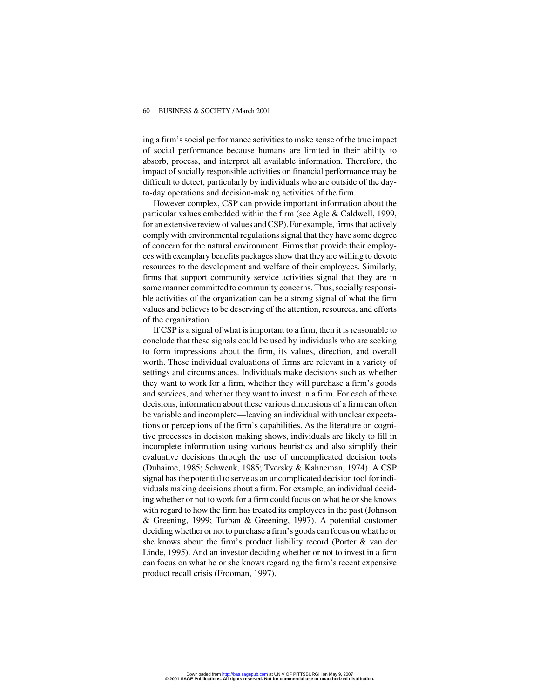ing a firm's social performance activities to make sense of the true impact of social performance because humans are limited in their ability to absorb, process, and interpret all available information. Therefore, the impact of socially responsible activities on financial performance may be difficult to detect, particularly by individuals who are outside of the dayto-day operations and decision-making activities of the firm.

However complex, CSP can provide important information about the particular values embedded within the firm (see Agle & Caldwell, 1999, for an extensive review of values and CSP). For example, firms that actively comply with environmental regulations signal that they have some degree of concern for the natural environment. Firms that provide their employees with exemplary benefits packages show that they are willing to devote resources to the development and welfare of their employees. Similarly, firms that support community service activities signal that they are in some manner committed to community concerns. Thus, socially responsible activities of the organization can be a strong signal of what the firm values and believes to be deserving of the attention, resources, and efforts of the organization.

If CSP is a signal of what is important to a firm, then it is reasonable to conclude that these signals could be used by individuals who are seeking to form impressions about the firm, its values, direction, and overall worth. These individual evaluations of firms are relevant in a variety of settings and circumstances. Individuals make decisions such as whether they want to work for a firm, whether they will purchase a firm's goods and services, and whether they want to invest in a firm. For each of these decisions, information about these various dimensions of a firm can often be variable and incomplete—leaving an individual with unclear expectations or perceptions of the firm's capabilities. As the literature on cognitive processes in decision making shows, individuals are likely to fill in incomplete information using various heuristics and also simplify their evaluative decisions through the use of uncomplicated decision tools (Duhaime, 1985; Schwenk, 1985; Tversky & Kahneman, 1974). A CSP signal has the potential to serve as an uncomplicated decision tool for individuals making decisions about a firm. For example, an individual deciding whether or not to work for a firm could focus on what he or she knows with regard to how the firm has treated its employees in the past (Johnson & Greening, 1999; Turban & Greening, 1997). A potential customer deciding whether or not to purchase a firm's goods can focus on what he or she knows about the firm's product liability record (Porter & van der Linde, 1995). And an investor deciding whether or not to invest in a firm can focus on what he or she knows regarding the firm's recent expensive product recall crisis (Frooman, 1997).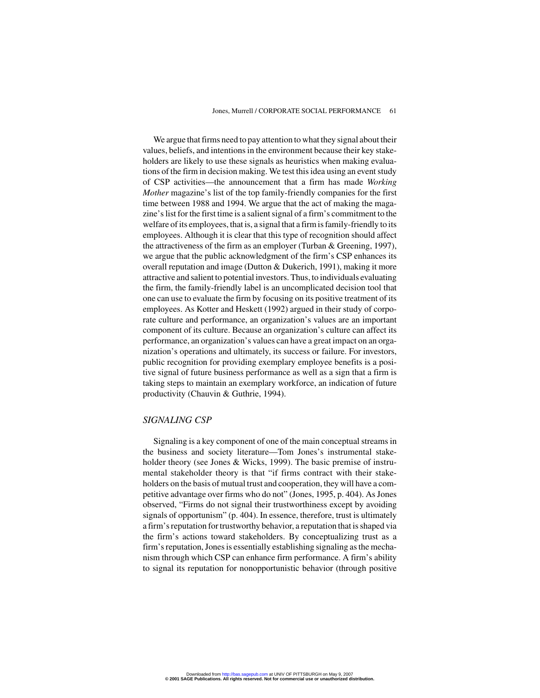We argue that firms need to pay attention to what they signal about their values, beliefs, and intentions in the environment because their key stakeholders are likely to use these signals as heuristics when making evaluations of the firm in decision making. We test this idea using an event study of CSP activities—the announcement that a firm has made *Working Mother* magazine's list of the top family-friendly companies for the first time between 1988 and 1994. We argue that the act of making the magazine's list for the first time is a salient signal of a firm's commitment to the welfare of its employees, that is, a signal that a firm is family-friendly to its employees. Although it is clear that this type of recognition should affect the attractiveness of the firm as an employer (Turban & Greening, 1997), we argue that the public acknowledgment of the firm's CSP enhances its overall reputation and image (Dutton & Dukerich, 1991), making it more attractive and salient to potential investors. Thus, to individuals evaluating the firm, the family-friendly label is an uncomplicated decision tool that one can use to evaluate the firm by focusing on its positive treatment of its employees. As Kotter and Heskett (1992) argued in their study of corporate culture and performance, an organization's values are an important component of its culture. Because an organization's culture can affect its performance, an organization's values can have a great impact on an organization's operations and ultimately, its success or failure. For investors, public recognition for providing exemplary employee benefits is a positive signal of future business performance as well as a sign that a firm is taking steps to maintain an exemplary workforce, an indication of future productivity (Chauvin & Guthrie, 1994).

# *SIGNALING CSP*

Signaling is a key component of one of the main conceptual streams in the business and society literature—Tom Jones's instrumental stakeholder theory (see Jones & Wicks, 1999). The basic premise of instrumental stakeholder theory is that "if firms contract with their stakeholders on the basis of mutual trust and cooperation, they will have a competitive advantage over firms who do not" (Jones, 1995, p. 404). As Jones observed, "Firms do not signal their trustworthiness except by avoiding signals of opportunism" (p. 404). In essence, therefore, trust is ultimately a firm's reputation for trustworthy behavior, a reputation that is shaped via the firm's actions toward stakeholders. By conceptualizing trust as a firm's reputation, Jones is essentially establishing signaling as the mechanism through which CSP can enhance firm performance. A firm's ability to signal its reputation for nonopportunistic behavior (through positive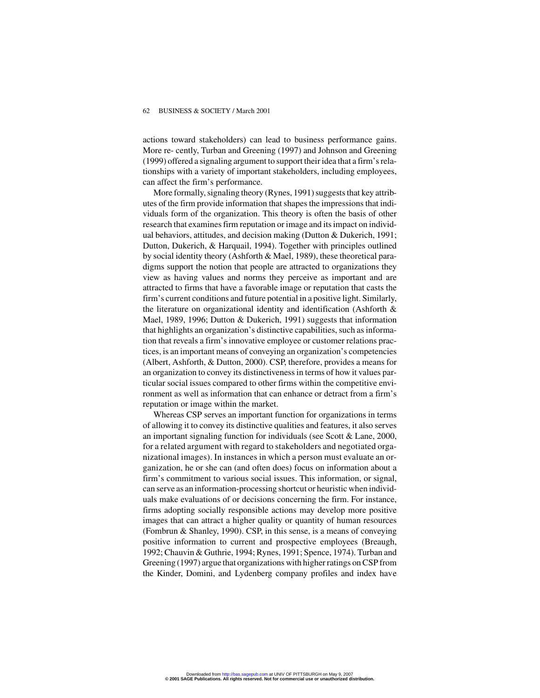actions toward stakeholders) can lead to business performance gains. More re- cently, Turban and Greening (1997) and Johnson and Greening (1999) offered a signaling argument to support their idea that a firm's relationships with a variety of important stakeholders, including employees, can affect the firm's performance.

More formally, signaling theory (Rynes, 1991) suggests that key attributes of the firm provide information that shapes the impressions that individuals form of the organization. This theory is often the basis of other research that examines firm reputation or image and its impact on individual behaviors, attitudes, and decision making (Dutton & Dukerich, 1991; Dutton, Dukerich, & Harquail, 1994). Together with principles outlined by social identity theory (Ashforth & Mael, 1989), these theoretical paradigms support the notion that people are attracted to organizations they view as having values and norms they perceive as important and are attracted to firms that have a favorable image or reputation that casts the firm's current conditions and future potential in a positive light. Similarly, the literature on organizational identity and identification (Ashforth & Mael, 1989, 1996; Dutton & Dukerich, 1991) suggests that information that highlights an organization's distinctive capabilities, such as information that reveals a firm's innovative employee or customer relations practices, is an important means of conveying an organization's competencies (Albert, Ashforth, & Dutton, 2000). CSP, therefore, provides a means for an organization to convey its distinctiveness in terms of how it values particular social issues compared to other firms within the competitive environment as well as information that can enhance or detract from a firm's reputation or image within the market.

Whereas CSP serves an important function for organizations in terms of allowing it to convey its distinctive qualities and features, it also serves an important signaling function for individuals (see Scott & Lane, 2000, for a related argument with regard to stakeholders and negotiated organizational images). In instances in which a person must evaluate an organization, he or she can (and often does) focus on information about a firm's commitment to various social issues. This information, or signal, can serve as an information-processing shortcut or heuristic when individuals make evaluations of or decisions concerning the firm. For instance, firms adopting socially responsible actions may develop more positive images that can attract a higher quality or quantity of human resources (Fombrun & Shanley, 1990). CSP, in this sense, is a means of conveying positive information to current and prospective employees (Breaugh, 1992; Chauvin & Guthrie, 1994; Rynes, 1991; Spence, 1974). Turban and Greening (1997) argue that organizations with higher ratings on CSP from the Kinder, Domini, and Lydenberg company profiles and index have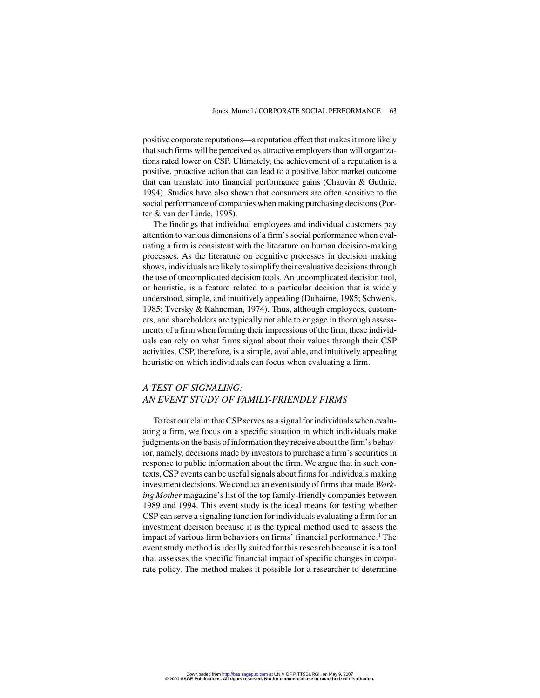positive corporate reputations—a reputation effect that makes it more likely that such firms will be perceived as attractive employers than will organizations rated lower on CSP. Ultimately, the achievement of a reputation is a positive, proactive action that can lead to a positive labor market outcome that can translate into financial performance gains (Chauvin & Guthrie, 1994). Studies have also shown that consumers are often sensitive to the social performance of companies when making purchasing decisions (Porter & van der Linde, 1995).

The findings that individual employees and individual customers pay attention to various dimensions of a firm's social performance when evaluating a firm is consistent with the literature on human decision-making processes. As the literature on cognitive processes in decision making shows, individuals are likely to simplify their evaluative decisions through the use of uncomplicated decision tools. An uncomplicated decision tool, or heuristic, is a feature related to a particular decision that is widely understood, simple, and intuitively appealing (Duhaime, 1985; Schwenk, 1985; Tversky & Kahneman, 1974). Thus, although employees, customers, and shareholders are typically not able to engage in thorough assessments of a firm when forming their impressions of the firm, these individuals can rely on what firms signal about their values through their CSP activities. CSP, therefore, is a simple, available, and intuitively appealing heuristic on which individuals can focus when evaluating a firm.

# *A TEST OF SIGNALING: AN EVENT STUDY OF FAMILY-FRIENDLY FIRMS*

To test our claim that CSP serves as a signal for individuals when evaluating a firm, we focus on a specific situation in which individuals make judgments on the basis of information they receive about the firm's behavior, namely, decisions made by investors to purchase a firm's securities in response to public information about the firm. We argue that in such contexts, CSP events can be useful signals about firms for individuals making investment decisions. We conduct an event study of firms that made *Working Mother* magazine's list of the top family-friendly companies between 1989 and 1994. This event study is the ideal means for testing whether CSP can serve a signaling function for individuals evaluating a firm for an investment decision because it is the typical method used to assess the impact of various firm behaviors on firms' financial performance.<sup>1</sup> The event study method is ideally suited for this research because it is a tool that assesses the specific financial impact of specific changes in corporate policy. The method makes it possible for a researcher to determine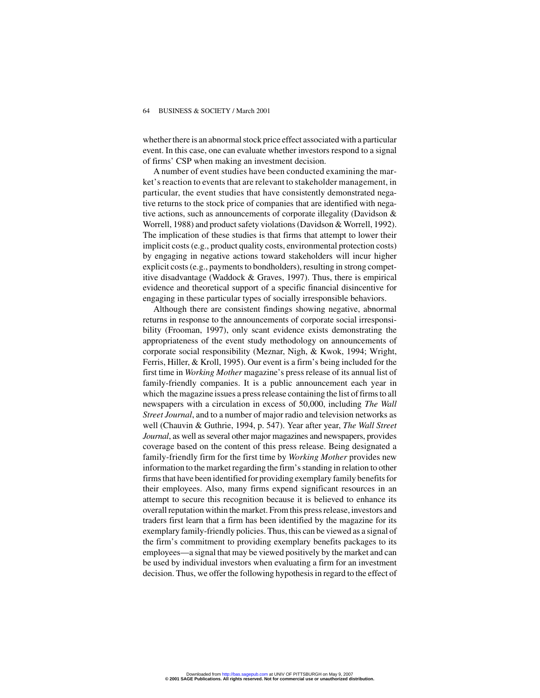whether there is an abnormal stock price effect associated with a particular event. In this case, one can evaluate whether investors respond to a signal of firms' CSP when making an investment decision.

A number of event studies have been conducted examining the market's reaction to events that are relevant to stakeholder management, in particular, the event studies that have consistently demonstrated negative returns to the stock price of companies that are identified with negative actions, such as announcements of corporate illegality (Davidson & Worrell, 1988) and product safety violations (Davidson & Worrell, 1992). The implication of these studies is that firms that attempt to lower their implicit costs (e.g., product quality costs, environmental protection costs) by engaging in negative actions toward stakeholders will incur higher explicit costs (e.g., payments to bondholders), resulting in strong competitive disadvantage (Waddock & Graves, 1997). Thus, there is empirical evidence and theoretical support of a specific financial disincentive for engaging in these particular types of socially irresponsible behaviors.

Although there are consistent findings showing negative, abnormal returns in response to the announcements of corporate social irresponsibility (Frooman, 1997), only scant evidence exists demonstrating the appropriateness of the event study methodology on announcements of corporate social responsibility (Meznar, Nigh, & Kwok, 1994; Wright, Ferris, Hiller, & Kroll, 1995). Our event is a firm's being included for the first time in *Working Mother* magazine's press release of its annual list of family-friendly companies. It is a public announcement each year in which the magazine issues a press release containing the list of firms to all newspapers with a circulation in excess of 50,000, including *The Wall Street Journal*, and to a number of major radio and television networks as well (Chauvin & Guthrie, 1994, p. 547). Year after year, *The Wall Street Journal*, as well as several other major magazines and newspapers, provides coverage based on the content of this press release. Being designated a family-friendly firm for the first time by *Working Mother* provides new information to the market regarding the firm's standing in relation to other firms that have been identified for providing exemplary family benefits for their employees. Also, many firms expend significant resources in an attempt to secure this recognition because it is believed to enhance its overall reputation within the market. From this press release, investors and traders first learn that a firm has been identified by the magazine for its exemplary family-friendly policies. Thus, this can be viewed as a signal of the firm's commitment to providing exemplary benefits packages to its employees—a signal that may be viewed positively by the market and can be used by individual investors when evaluating a firm for an investment decision. Thus, we offer the following hypothesis in regard to the effect of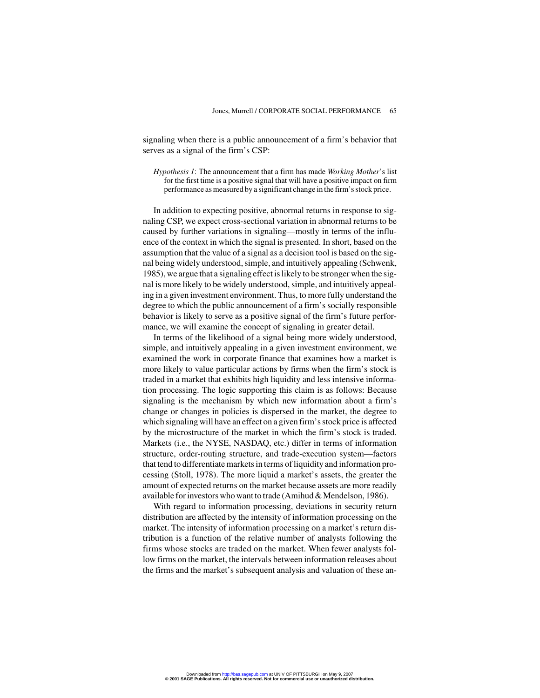signaling when there is a public announcement of a firm's behavior that serves as a signal of the firm's CSP:

*Hypothesis 1*: The announcement that a firm has made *Working Mother*'s list for the first time is a positive signal that will have a positive impact on firm performance as measured by a significant change in the firm's stock price.

In addition to expecting positive, abnormal returns in response to signaling CSP, we expect cross-sectional variation in abnormal returns to be caused by further variations in signaling—mostly in terms of the influence of the context in which the signal is presented. In short, based on the assumption that the value of a signal as a decision tool is based on the signal being widely understood, simple, and intuitively appealing (Schwenk, 1985), we argue that a signaling effect is likely to be stronger when the signal is more likely to be widely understood, simple, and intuitively appealing in a given investment environment. Thus, to more fully understand the degree to which the public announcement of a firm's socially responsible behavior is likely to serve as a positive signal of the firm's future performance, we will examine the concept of signaling in greater detail.

In terms of the likelihood of a signal being more widely understood, simple, and intuitively appealing in a given investment environment, we examined the work in corporate finance that examines how a market is more likely to value particular actions by firms when the firm's stock is traded in a market that exhibits high liquidity and less intensive information processing. The logic supporting this claim is as follows: Because signaling is the mechanism by which new information about a firm's change or changes in policies is dispersed in the market, the degree to which signaling will have an effect on a given firm's stock price is affected by the microstructure of the market in which the firm's stock is traded. Markets (i.e., the NYSE, NASDAQ, etc.) differ in terms of information structure, order-routing structure, and trade-execution system—factors that tend to differentiate markets in terms of liquidity and information processing (Stoll, 1978). The more liquid a market's assets, the greater the amount of expected returns on the market because assets are more readily available for investors who want to trade (Amihud & Mendelson, 1986).

With regard to information processing, deviations in security return distribution are affected by the intensity of information processing on the market. The intensity of information processing on a market's return distribution is a function of the relative number of analysts following the firms whose stocks are traded on the market. When fewer analysts follow firms on the market, the intervals between information releases about the firms and the market's subsequent analysis and valuation of these an-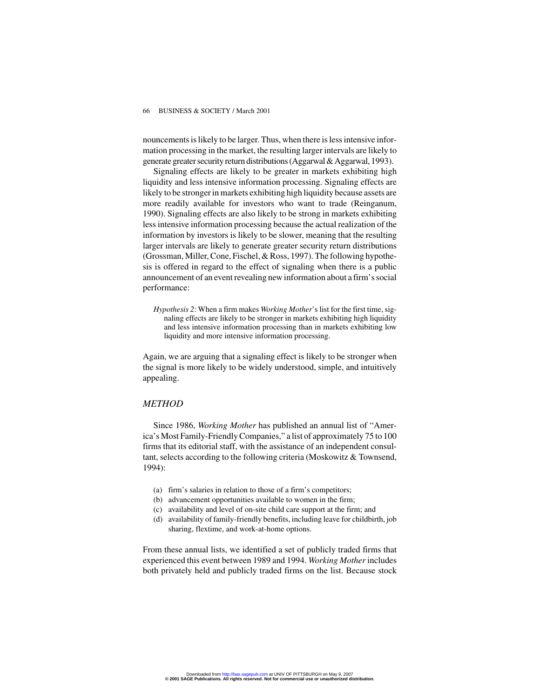nouncements is likely to be larger. Thus, when there is less intensive information processing in the market, the resulting larger intervals are likely to generate greater security return distributions (Aggarwal & Aggarwal, 1993).

Signaling effects are likely to be greater in markets exhibiting high liquidity and less intensive information processing. Signaling effects are likely to be stronger in markets exhibiting high liquidity because assets are more readily available for investors who want to trade (Reinganum, 1990). Signaling effects are also likely to be strong in markets exhibiting less intensive information processing because the actual realization of the information by investors is likely to be slower, meaning that the resulting larger intervals are likely to generate greater security return distributions (Grossman, Miller, Cone, Fischel, & Ross, 1997). The following hypothesis is offered in regard to the effect of signaling when there is a public announcement of an event revealing new information about a firm's social performance:

*Hypothesis 2*: When a firm makes *Working Mother*'s list for the first time, signaling effects are likely to be stronger in markets exhibiting high liquidity and less intensive information processing than in markets exhibiting low liquidity and more intensive information processing.

Again, we are arguing that a signaling effect is likely to be stronger when the signal is more likely to be widely understood, simple, and intuitively appealing.

### *METHOD*

Since 1986, *Working Mother* has published an annual list of "America's Most Family-Friendly Companies," a list of approximately 75 to 100 firms that its editorial staff, with the assistance of an independent consultant, selects according to the following criteria (Moskowitz & Townsend, 1994):

- (a) firm's salaries in relation to those of a firm's competitors;
- (b) advancement opportunities available to women in the firm;
- (c) availability and level of on-site child care support at the firm; and
- (d) availability of family-friendly benefits, including leave for childbirth, job sharing, flextime, and work-at-home options.

From these annual lists, we identified a set of publicly traded firms that experienced this event between 1989 and 1994. *Working Mother* includes both privately held and publicly traded firms on the list. Because stock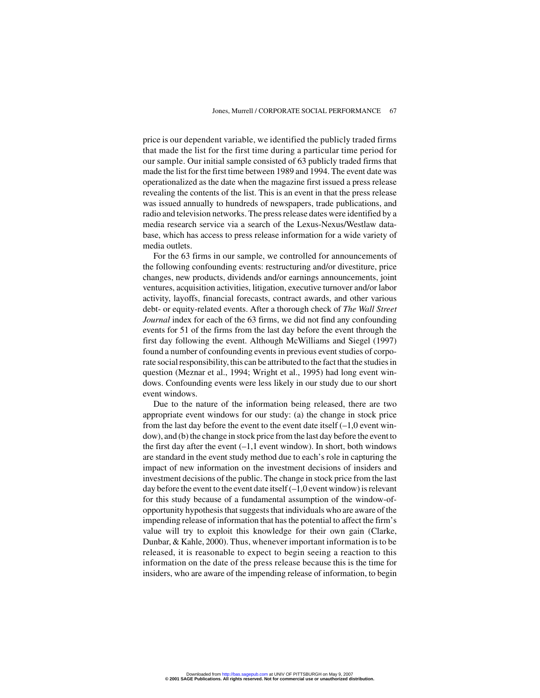price is our dependent variable, we identified the publicly traded firms that made the list for the first time during a particular time period for our sample. Our initial sample consisted of 63 publicly traded firms that made the list for the first time between 1989 and 1994. The event date was operationalized as the date when the magazine first issued a press release revealing the contents of the list. This is an event in that the press release was issued annually to hundreds of newspapers, trade publications, and radio and television networks. The press release dates were identified by a media research service via a search of the Lexus-Nexus/Westlaw database, which has access to press release information for a wide variety of media outlets.

For the 63 firms in our sample, we controlled for announcements of the following confounding events: restructuring and/or divestiture, price changes, new products, dividends and/or earnings announcements, joint ventures, acquisition activities, litigation, executive turnover and/or labor activity, layoffs, financial forecasts, contract awards, and other various debt- or equity-related events. After a thorough check of *The Wall Street Journal* index for each of the 63 firms, we did not find any confounding events for 51 of the firms from the last day before the event through the first day following the event. Although McWilliams and Siegel (1997) found a number of confounding events in previous event studies of corporate social responsibility, this can be attributed to the fact that the studies in question (Meznar et al., 1994; Wright et al., 1995) had long event windows. Confounding events were less likely in our study due to our short event windows.

Due to the nature of the information being released, there are two appropriate event windows for our study: (a) the change in stock price from the last day before the event to the event date itself  $(-1,0)$  event window), and (b) the change in stock price from the last day before the event to the first day after the event  $(-1,1)$  event window). In short, both windows are standard in the event study method due to each's role in capturing the impact of new information on the investment decisions of insiders and investment decisions of the public. The change in stock price from the last day before the event to the event date itself  $(-1,0)$  event window) is relevant for this study because of a fundamental assumption of the window-ofopportunity hypothesis that suggests that individuals who are aware of the impending release of information that has the potential to affect the firm's value will try to exploit this knowledge for their own gain (Clarke, Dunbar, & Kahle, 2000). Thus, whenever important information is to be released, it is reasonable to expect to begin seeing a reaction to this information on the date of the press release because this is the time for insiders, who are aware of the impending release of information, to begin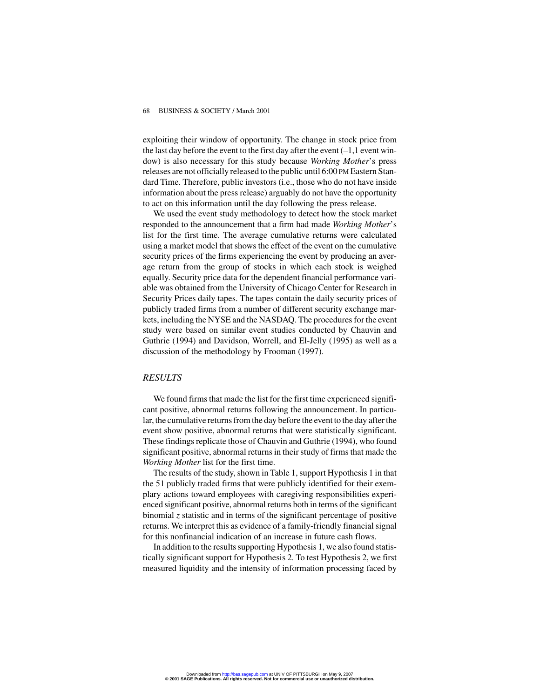exploiting their window of opportunity. The change in stock price from the last day before the event to the first day after the event  $(-1,1)$  event window) is also necessary for this study because *Working Mother*'s press releases are not officially released to the public until 6:00 PM Eastern Standard Time. Therefore, public investors (i.e., those who do not have inside information about the press release) arguably do not have the opportunity to act on this information until the day following the press release.

We used the event study methodology to detect how the stock market responded to the announcement that a firm had made *Working Mother*'s list for the first time. The average cumulative returns were calculated using a market model that shows the effect of the event on the cumulative security prices of the firms experiencing the event by producing an average return from the group of stocks in which each stock is weighed equally. Security price data for the dependent financial performance variable was obtained from the University of Chicago Center for Research in Security Prices daily tapes. The tapes contain the daily security prices of publicly traded firms from a number of different security exchange markets, including the NYSE and the NASDAQ. The procedures for the event study were based on similar event studies conducted by Chauvin and Guthrie (1994) and Davidson, Worrell, and El-Jelly (1995) as well as a discussion of the methodology by Frooman (1997).

# *RESULTS*

We found firms that made the list for the first time experienced significant positive, abnormal returns following the announcement. In particular, the cumulative returns from the day before the event to the day after the event show positive, abnormal returns that were statistically significant. These findings replicate those of Chauvin and Guthrie (1994), who found significant positive, abnormal returns in their study of firms that made the *Working Mother* list for the first time.

The results of the study, shown in Table 1, support Hypothesis 1 in that the 51 publicly traded firms that were publicly identified for their exemplary actions toward employees with caregiving responsibilities experienced significant positive, abnormal returns both in terms of the significant binomial *z* statistic and in terms of the significant percentage of positive returns. We interpret this as evidence of a family-friendly financial signal for this nonfinancial indication of an increase in future cash flows.

In addition to the results supporting Hypothesis 1, we also found statistically significant support for Hypothesis 2. To test Hypothesis 2, we first measured liquidity and the intensity of information processing faced by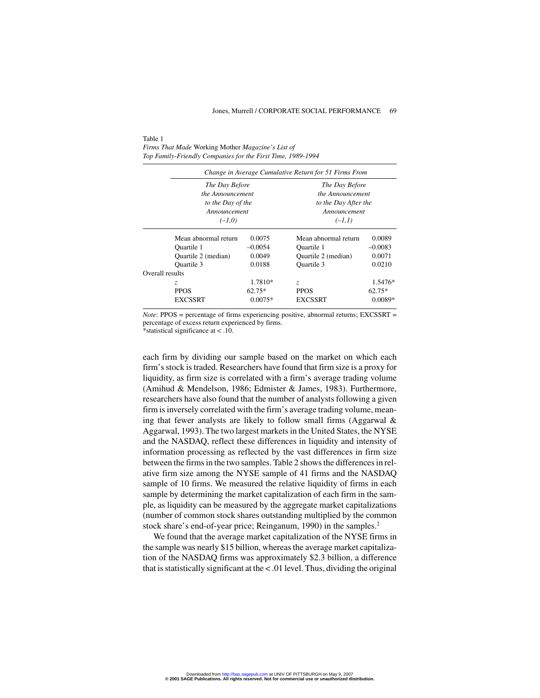Table 1 *Firms That Made* Working Mother *Magazine's List of Top Family-Friendly Companies for the First Time, 1989-1994*

|                      |                                                                         |           |  | Change in Average Cumulative Return for 51 Firms From                      |           |  |
|----------------------|-------------------------------------------------------------------------|-----------|--|----------------------------------------------------------------------------|-----------|--|
|                      | The Day Before<br>the Announcement<br>to the Day of the<br>Announcement |           |  | The Day Before<br>the Announcement<br>to the Day After the<br>Announcement |           |  |
|                      |                                                                         |           |  |                                                                            |           |  |
|                      |                                                                         |           |  |                                                                            |           |  |
|                      |                                                                         |           |  |                                                                            |           |  |
|                      | $(-1,0)$                                                                |           |  | $(-1,1)$                                                                   |           |  |
| Mean abnormal return |                                                                         | 0.0075    |  | Mean abnormal return                                                       | 0.0089    |  |
| <b>Ouartile 1</b>    |                                                                         | $-0.0054$ |  | Ouartile 1                                                                 | $-0.0083$ |  |
| Quartile 2 (median)  |                                                                         | 0.0049    |  | Quartile 2 (median)                                                        | 0.0071    |  |
| Quartile 3           |                                                                         | 0.0188    |  | <b>Ouartile 3</b>                                                          | 0.0210    |  |
| Overall results      |                                                                         |           |  |                                                                            |           |  |
| Z.                   |                                                                         | 1.7810*   |  | Z.                                                                         | 1.5476*   |  |
| <b>PPOS</b>          |                                                                         | $62.75*$  |  | <b>PPOS</b>                                                                | $62.75*$  |  |
| EXCSSRT              |                                                                         | $0.0075*$ |  | <b>EXCSSRT</b>                                                             | $0.0089*$ |  |

*Note*: PPOS = percentage of firms experiencing positive, abnormal returns; EXCSSRT = percentage of excess return experienced by firms.

\*statistical significance at < .10.

each firm by dividing our sample based on the market on which each firm's stock is traded. Researchers have found that firm size is a proxy for liquidity, as firm size is correlated with a firm's average trading volume (Amihud & Mendelson, 1986; Edmister & James, 1983). Furthermore, researchers have also found that the number of analysts following a given firm is inversely correlated with the firm's average trading volume, meaning that fewer analysts are likely to follow small firms (Aggarwal  $\&$ Aggarwal, 1993). The two largest markets in the United States, the NYSE and the NASDAQ, reflect these differences in liquidity and intensity of information processing as reflected by the vast differences in firm size between the firms in the two samples. Table 2 shows the differences in relative firm size among the NYSE sample of 41 firms and the NASDAQ sample of 10 firms. We measured the relative liquidity of firms in each sample by determining the market capitalization of each firm in the sample, as liquidity can be measured by the aggregate market capitalizations (number of common stock shares outstanding multiplied by the common stock share's end-of-year price; Reinganum, 1990) in the samples.<sup>2</sup>

We found that the average market capitalization of the NYSE firms in the sample was nearly \$15 billion, whereas the average market capitalization of the NASDAQ firms was approximately \$2.3 billion, a difference that is statistically significant at the < .01 level. Thus, dividing the original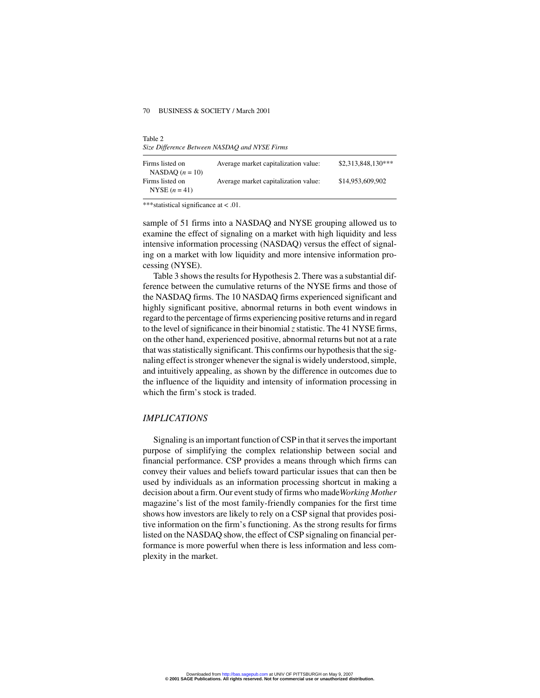Table 2 *Size Difference Between NASDAQ and NYSE Firms*

| Firms listed on<br>NASDAO $(n = 10)$ | Average market capitalization value: | \$2,313,848,130*** |
|--------------------------------------|--------------------------------------|--------------------|
| Firms listed on<br>NYSE $(n=41)$     | Average market capitalization value: | \$14,953,609,902   |

\*\*\*statistical significance at < .01.

sample of 51 firms into a NASDAQ and NYSE grouping allowed us to examine the effect of signaling on a market with high liquidity and less intensive information processing (NASDAQ) versus the effect of signaling on a market with low liquidity and more intensive information processing (NYSE).

Table 3 shows the results for Hypothesis 2. There was a substantial difference between the cumulative returns of the NYSE firms and those of the NASDAQ firms. The 10 NASDAQ firms experienced significant and highly significant positive, abnormal returns in both event windows in regard to the percentage of firms experiencing positive returns and in regard to the level of significance in their binomial*z*statistic. The 41 NYSE firms, on the other hand, experienced positive, abnormal returns but not at a rate that was statistically significant. This confirms our hypothesis that the signaling effect is stronger whenever the signal is widely understood, simple, and intuitively appealing, as shown by the difference in outcomes due to the influence of the liquidity and intensity of information processing in which the firm's stock is traded.

# *IMPLICATIONS*

Signaling is an important function of CSP in that it serves the important purpose of simplifying the complex relationship between social and financial performance. CSP provides a means through which firms can convey their values and beliefs toward particular issues that can then be used by individuals as an information processing shortcut in making a decision about a firm. Our event study of firms who made*Working Mother* magazine's list of the most family-friendly companies for the first time shows how investors are likely to rely on a CSP signal that provides positive information on the firm's functioning. As the strong results for firms listed on the NASDAQ show, the effect of CSP signaling on financial performance is more powerful when there is less information and less complexity in the market.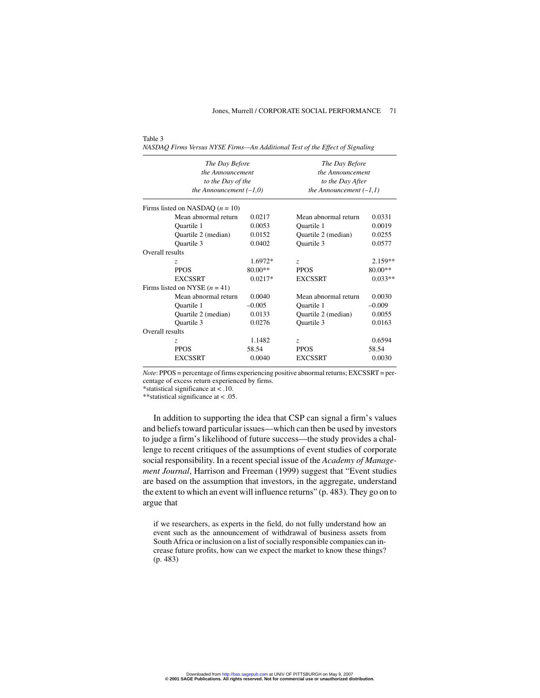| The Day Before<br>the Announcement<br>to the Day of the | The Day Before<br>the Announcement<br>to the Day After |                      |                           |  |  |
|---------------------------------------------------------|--------------------------------------------------------|----------------------|---------------------------|--|--|
|                                                         | the Announcement $(-1,0)$                              |                      | the Announcement $(-1,1)$ |  |  |
| Firms listed on NASDAQ $(n = 10)$                       |                                                        |                      |                           |  |  |
| Mean abnormal return                                    | 0.0217                                                 | Mean abnormal return | 0.0331                    |  |  |
| <b>Ouartile 1</b>                                       | 0.0053                                                 | <b>Ouartile 1</b>    | 0.0019                    |  |  |
| Quartile 2 (median)                                     | 0.0152                                                 | Quartile 2 (median)  | 0.0255                    |  |  |
| Quartile 3                                              | 0.0402                                                 | Quartile 3           | 0.0577                    |  |  |
| Overall results                                         |                                                        |                      |                           |  |  |
| Z.                                                      | 1.6972*                                                | Z.                   | 2.159**                   |  |  |
| <b>PPOS</b>                                             | $80.00**$                                              | <b>PPOS</b>          | $80.00**$                 |  |  |
| <b>EXCSSRT</b>                                          | $0.0217*$                                              | <b>EXCSSRT</b>       | $0.033**$                 |  |  |
| Firms listed on NYSE $(n = 41)$                         |                                                        |                      |                           |  |  |
| Mean abnormal return                                    | 0.0040                                                 | Mean abnormal return | 0.0030                    |  |  |
| Quartile 1                                              | $-0.005$                                               | Quartile 1           | $-0.009$                  |  |  |
| Quartile 2 (median)                                     | 0.0133                                                 | Quartile 2 (median)  | 0.0055                    |  |  |
| Quartile 3                                              | 0.0276                                                 | Quartile 3           | 0.0163                    |  |  |
| Overall results                                         |                                                        |                      |                           |  |  |
| Z.                                                      | 1.1482                                                 | Z.                   | 0.6594                    |  |  |
| <b>PPOS</b>                                             | 58.54                                                  | <b>PPOS</b>          | 58.54                     |  |  |
| <b>EXCSSRT</b>                                          | 0.0040                                                 | <b>EXCSSRT</b>       | 0.0030                    |  |  |
|                                                         |                                                        |                      |                           |  |  |

Table 3 *NASDAQ Firms Versus NYSE Firms—An Additional Test of the Effect of Signaling*

*Note*: PPOS = percentage of firms experiencing positive abnormal returns; EXCSSRT = percentage of excess return experienced by firms.

\*statistical significance at < .10.

\*\*statistical significance at < .05.

In addition to supporting the idea that CSP can signal a firm's values and beliefs toward particular issues—which can then be used by investors to judge a firm's likelihood of future success—the study provides a challenge to recent critiques of the assumptions of event studies of corporate social responsibility. In a recent special issue of the *Academy of Management Journal*, Harrison and Freeman (1999) suggest that "Event studies are based on the assumption that investors, in the aggregate, understand the extent to which an event will influence returns" (p. 483). They go on to argue that

if we researchers, as experts in the field, do not fully understand how an event such as the announcement of withdrawal of business assets from South Africa or inclusion on a list of socially responsible companies can increase future profits, how can we expect the market to know these things? (p. 483)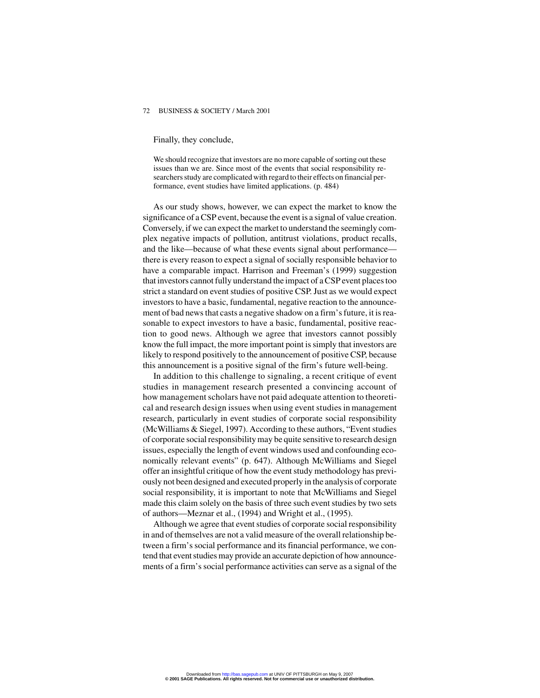Finally, they conclude,

We should recognize that investors are no more capable of sorting out these issues than we are. Since most of the events that social responsibility researchers study are complicated with regard to their effects on financial performance, event studies have limited applications. (p. 484)

As our study shows, however, we can expect the market to know the significance of a CSP event, because the event is a signal of value creation. Conversely, if we can expect the market to understand the seemingly complex negative impacts of pollution, antitrust violations, product recalls, and the like—because of what these events signal about performance there is every reason to expect a signal of socially responsible behavior to have a comparable impact. Harrison and Freeman's (1999) suggestion that investors cannot fully understand the impact of a CSP event places too strict a standard on event studies of positive CSP. Just as we would expect investors to have a basic, fundamental, negative reaction to the announcement of bad news that casts a negative shadow on a firm's future, it is reasonable to expect investors to have a basic, fundamental, positive reaction to good news. Although we agree that investors cannot possibly know the full impact, the more important point is simply that investors are likely to respond positively to the announcement of positive CSP, because this announcement is a positive signal of the firm's future well-being.

In addition to this challenge to signaling, a recent critique of event studies in management research presented a convincing account of how management scholars have not paid adequate attention to theoretical and research design issues when using event studies in management research, particularly in event studies of corporate social responsibility (McWilliams & Siegel, 1997). According to these authors, "Event studies of corporate social responsibility may be quite sensitive to research design issues, especially the length of event windows used and confounding economically relevant events" (p. 647). Although McWilliams and Siegel offer an insightful critique of how the event study methodology has previously not been designed and executed properly in the analysis of corporate social responsibility, it is important to note that McWilliams and Siegel made this claim solely on the basis of three such event studies by two sets of authors—Meznar et al., (1994) and Wright et al., (1995).

Although we agree that event studies of corporate social responsibility in and of themselves are not a valid measure of the overall relationship between a firm's social performance and its financial performance, we contend that event studies may provide an accurate depiction of how announcements of a firm's social performance activities can serve as a signal of the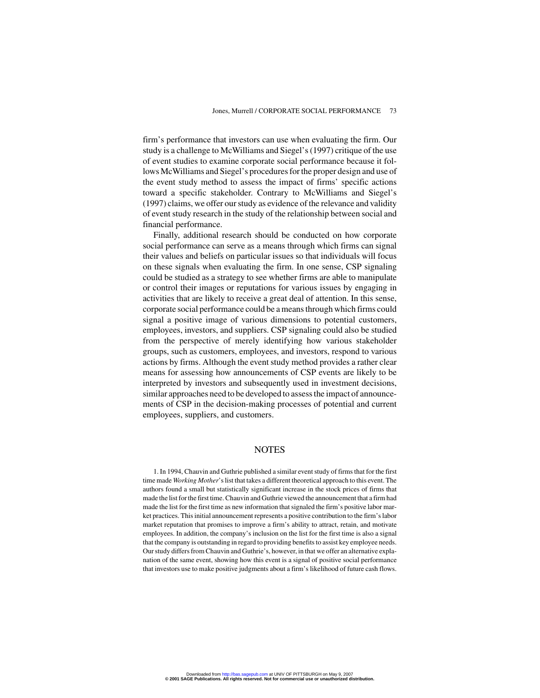firm's performance that investors can use when evaluating the firm. Our study is a challenge to McWilliams and Siegel's (1997) critique of the use of event studies to examine corporate social performance because it follows McWilliams and Siegel's procedures for the proper design and use of the event study method to assess the impact of firms' specific actions toward a specific stakeholder. Contrary to McWilliams and Siegel's (1997) claims, we offer our study as evidence of the relevance and validity of event study research in the study of the relationship between social and financial performance.

Finally, additional research should be conducted on how corporate social performance can serve as a means through which firms can signal their values and beliefs on particular issues so that individuals will focus on these signals when evaluating the firm. In one sense, CSP signaling could be studied as a strategy to see whether firms are able to manipulate or control their images or reputations for various issues by engaging in activities that are likely to receive a great deal of attention. In this sense, corporate social performance could be a means through which firms could signal a positive image of various dimensions to potential customers, employees, investors, and suppliers. CSP signaling could also be studied from the perspective of merely identifying how various stakeholder groups, such as customers, employees, and investors, respond to various actions by firms. Although the event study method provides a rather clear means for assessing how announcements of CSP events are likely to be interpreted by investors and subsequently used in investment decisions, similar approaches need to be developed to assess the impact of announcements of CSP in the decision-making processes of potential and current employees, suppliers, and customers.

# **NOTES**

1. In 1994, Chauvin and Guthrie published a similar event study of firms that for the first time made *Working Mother*'s list that takes a different theoretical approach to this event. The authors found a small but statistically significant increase in the stock prices of firms that made the list for the first time. Chauvin and Guthrie viewed the announcement that a firm had made the list for the first time as new information that signaled the firm's positive labor market practices. This initial announcement represents a positive contribution to the firm's labor market reputation that promises to improve a firm's ability to attract, retain, and motivate employees. In addition, the company's inclusion on the list for the first time is also a signal that the company is outstanding in regard to providing benefits to assist key employee needs. Our study differs from Chauvin and Guthrie's, however, in that we offer an alternative explanation of the same event, showing how this event is a signal of positive social performance that investors use to make positive judgments about a firm's likelihood of future cash flows.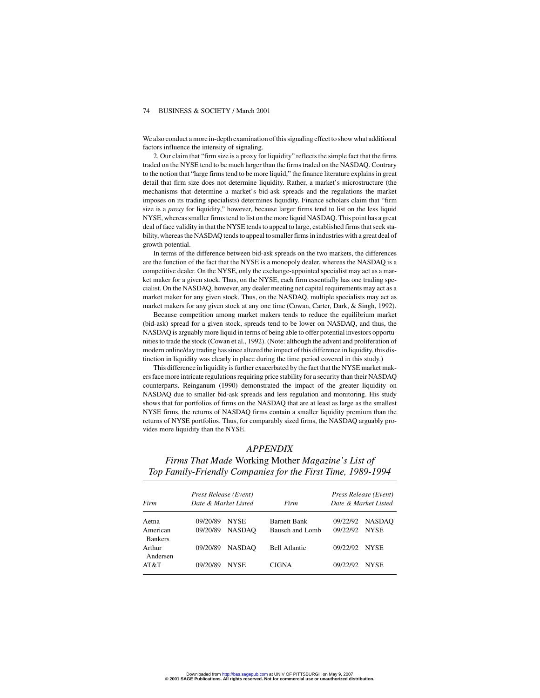We also conduct a more in-depth examination of this signaling effect to show what additional factors influence the intensity of signaling.

2. Our claim that "firm size is a proxy for liquidity" reflects the simple fact that the firms traded on the NYSE tend to be much larger than the firms traded on the NASDAQ. Contrary to the notion that "large firms tend to be more liquid," the finance literature explains in great detail that firm size does not determine liquidity. Rather, a market's microstructure (the mechanisms that determine a market's bid-ask spreads and the regulations the market imposes on its trading specialists) determines liquidity. Finance scholars claim that "firm size is a *proxy* for liquidity," however, because larger firms tend to list on the less liquid NYSE, whereas smaller firms tend to list on the more liquid NASDAQ. This point has a great deal of face validity in that the NYSE tends to appeal to large, established firms that seek stability, whereas the NASDAQ tends to appeal to smaller firms in industries with a great deal of growth potential.

In terms of the difference between bid-ask spreads on the two markets, the differences are the function of the fact that the NYSE is a monopoly dealer, whereas the NASDAQ is a competitive dealer. On the NYSE, only the exchange-appointed specialist may act as a market maker for a given stock. Thus, on the NYSE, each firm essentially has one trading specialist. On the NASDAQ, however, any dealer meeting net capital requirements may act as a market maker for any given stock. Thus, on the NASDAQ, multiple specialists may act as market makers for any given stock at any one time (Cowan, Carter, Dark, & Singh, 1992).

Because competition among market makers tends to reduce the equilibrium market (bid-ask) spread for a given stock, spreads tend to be lower on NASDAQ, and thus, the NASDAQ is arguably more liquid in terms of being able to offer potential investors opportunities to trade the stock (Cowan et al., 1992). (Note: although the advent and proliferation of modern online/day trading has since altered the impact of this difference in liquidity, this distinction in liquidity was clearly in place during the time period covered in this study.)

This difference in liquidity is further exacerbated by the fact that the NYSE market makers face more intricate regulations requiring price stability for a security than their NASDAQ counterparts. Reinganum (1990) demonstrated the impact of the greater liquidity on NASDAQ due to smaller bid-ask spreads and less regulation and monitoring. His study shows that for portfolios of firms on the NASDAQ that are at least as large as the smallest NYSE firms, the returns of NASDAQ firms contain a smaller liquidity premium than the returns of NYSE portfolios. Thus, for comparably sized firms, the NASDAQ arguably provides more liquidity than the NYSE.

# *APPENDIX*

# *Firms That Made* Working Mother *Magazine's List of Top Family-Friendly Companies for the First Time, 1989-1994*

| Firm                       | Press Release (Event)<br>Date & Market Listed |               | Firm                 | Press Release (Event)<br>Date & Market Listed |             |
|----------------------------|-----------------------------------------------|---------------|----------------------|-----------------------------------------------|-------------|
| Aetna                      | 09/20/89                                      | <b>NYSE</b>   | <b>Barnett Bank</b>  | 09/22/92                                      | NASDAO      |
| American<br><b>Bankers</b> | 09/20/89                                      | <b>NASDAO</b> | Bausch and Lomb      | 09/22/92                                      | <b>NYSE</b> |
| Arthur<br>Andersen         | 09/20/89                                      | <b>NASDAO</b> | <b>Bell Atlantic</b> | 09/22/92                                      | <b>NYSE</b> |
| AT&T                       | 09/20/89                                      | <b>NYSE</b>   | <b>CIGNA</b>         | 09/22/92                                      | <b>NYSE</b> |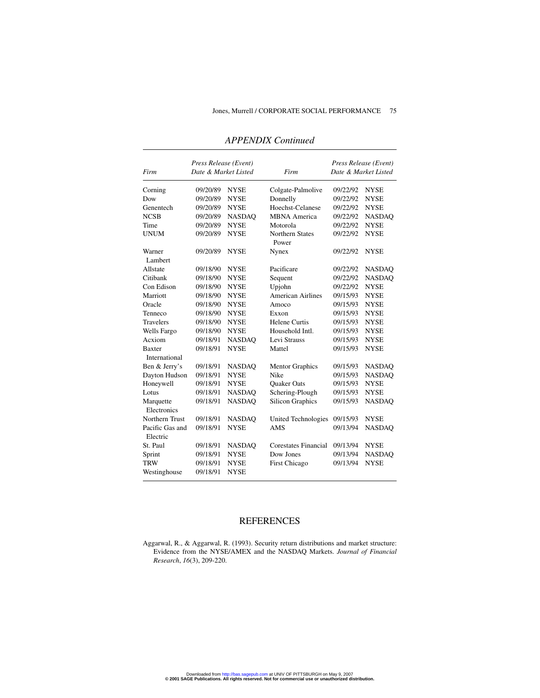| Press Release (Event)          |                      |               |                          | Press Release (Event) |                      |
|--------------------------------|----------------------|---------------|--------------------------|-----------------------|----------------------|
| Firm                           | Date & Market Listed |               | Firm                     |                       | Date & Market Listed |
| Corning                        | 09/20/89             | <b>NYSE</b>   | Colgate-Palmolive        | 09/22/92              | <b>NYSE</b>          |
| Dow                            | 09/20/89             | <b>NYSE</b>   | Donnelly                 | 09/22/92              | <b>NYSE</b>          |
| Genentech                      | 09/20/89             | <b>NYSE</b>   | Hoechst-Celanese         | 09/22/92              | <b>NYSE</b>          |
| <b>NCSB</b>                    | 09/20/89             | <b>NASDAO</b> | <b>MBNA</b> America      | 09/22/92              | <b>NASDAO</b>        |
| Time                           | 09/20/89             | <b>NYSE</b>   | Motorola                 | 09/22/92              | <b>NYSE</b>          |
| <b>UNUM</b>                    | 09/20/89             | <b>NYSE</b>   | Northern States<br>Power | 09/22/92              | <b>NYSE</b>          |
| Warner<br>Lambert              | 09/20/89             | <b>NYSE</b>   | <b>Nynex</b>             | 09/22/92              | <b>NYSE</b>          |
| Allstate                       | 09/18/90             | <b>NYSE</b>   | Pacificare               | 09/22/92              | <b>NASDAQ</b>        |
| Citibank                       | 09/18/90             | <b>NYSE</b>   | Sequent                  | 09/22/92              | <b>NASDAO</b>        |
| Con Edison                     | 09/18/90             | <b>NYSE</b>   | Upjohn                   | 09/22/92              | <b>NYSE</b>          |
| Marriott                       | 09/18/90             | <b>NYSE</b>   | <b>American Airlines</b> | 09/15/93              | NYSE                 |
| Oracle                         | 09/18/90             | <b>NYSE</b>   | Amoco                    | 09/15/93              | <b>NYSE</b>          |
| Tenneco                        | 09/18/90             | <b>NYSE</b>   | Exxon                    | 09/15/93              | <b>NYSE</b>          |
| <b>Travelers</b>               | 09/18/90             | <b>NYSE</b>   | <b>Helene Curtis</b>     | 09/15/93              | <b>NYSE</b>          |
| Wells Fargo                    | 09/18/90             | <b>NYSE</b>   | Household Intl.          | 09/15/93              | <b>NYSE</b>          |
| Acxiom                         | 09/18/91             | <b>NASDAQ</b> | Levi Strauss             | 09/15/93              | <b>NYSE</b>          |
| <b>Baxter</b><br>International | 09/18/91             | <b>NYSE</b>   | Mattel                   | 09/15/93              | <b>NYSE</b>          |
| Ben & Jerry's                  | 09/18/91             | <b>NASDAQ</b> | <b>Mentor Graphics</b>   | 09/15/93              | <b>NASDAQ</b>        |
| Dayton Hudson                  | 09/18/91             | <b>NYSE</b>   | Nike                     | 09/15/93              | <b>NASDAO</b>        |
| Honeywell                      | 09/18/91             | <b>NYSE</b>   | <b>Ouaker Oats</b>       | 09/15/93              | <b>NYSE</b>          |
| Lotus                          | 09/18/91             | <b>NASDAQ</b> | Schering-Plough          | 09/15/93              | <b>NYSE</b>          |
| Marquette<br>Electronics       | 09/18/91             | <b>NASDAQ</b> | <b>Silicon Graphics</b>  | 09/15/93              | <b>NASDAQ</b>        |
| Northern Trust                 | 09/18/91             | <b>NASDAQ</b> | United Technologies      | 09/15/93              | <b>NYSE</b>          |
| Pacific Gas and<br>Electric    | 09/18/91             | <b>NYSE</b>   | AMS                      | 09/13/94              | <b>NASDAO</b>        |
| St. Paul                       | 09/18/91             | <b>NASDAO</b> | Corestates Financial     | 09/13/94              | <b>NYSE</b>          |
| Sprint                         | 09/18/91             | <b>NYSE</b>   | Dow Jones                | 09/13/94              | <b>NASDAO</b>        |
| <b>TRW</b>                     | 09/18/91             | <b>NYSE</b>   | First Chicago            | 09/13/94              | <b>NYSE</b>          |
| Westinghouse                   | 09/18/91             | <b>NYSE</b>   |                          |                       |                      |

# *APPENDIX Continued*

# REFERENCES

Aggarwal, R., & Aggarwal, R. (1993). Security return distributions and market structure: Evidence from the NYSE/AMEX and the NASDAQ Markets. *Journal of Financial Research*, *16*(3), 209-220.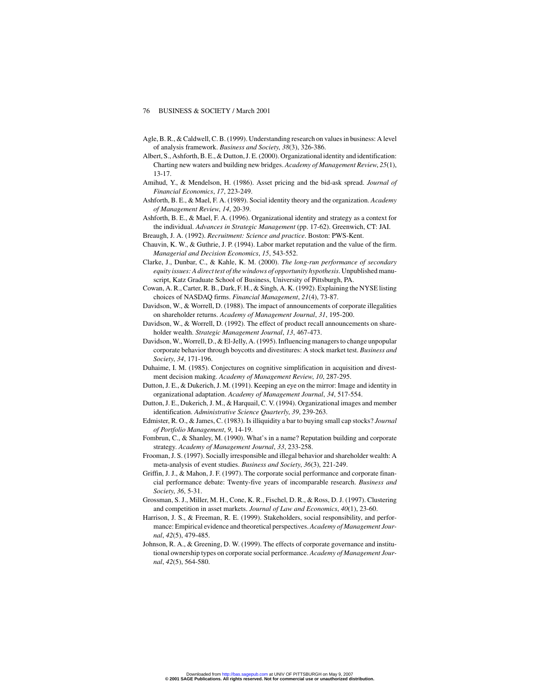- Agle, B. R., & Caldwell, C. B. (1999). Understanding research on values in business: A level of analysis framework. *Business and Society*, *38*(3), 326-386.
- Albert, S., Ashforth, B. E., & Dutton, J. E. (2000). Organizational identity and identification: Charting new waters and building new bridges. *Academy of Management Review*, *25*(1), 13-17.
- Amihud, Y., & Mendelson, H. (1986). Asset pricing and the bid-ask spread. *Journal of Financial Economics*, *17*, 223-249.
- Ashforth, B. E., & Mael, F. A. (1989). Social identity theory and the organization. *Academy of Management Review*, *14*, 20-39.
- Ashforth, B. E., & Mael, F. A. (1996). Organizational identity and strategy as a context for the individual. *Advances in Strategic Management* (pp. 17-62). Greenwich, CT: JAI.
- Breaugh, J. A. (1992). *Recruitment: Science and practice*. Boston: PWS-Kent.
- Chauvin, K. W., & Guthrie, J. P. (1994). Labor market reputation and the value of the firm. *Managerial and Decision Economics*, *15*, 543-552.
- Clarke, J., Dunbar, C., & Kahle, K. M. (2000). *The long-run performance of secondary equity issues: A direct test of the windows of opportunity hypothesis*. Unpublished manuscript, Katz Graduate School of Business, University of Pittsburgh, PA.
- Cowan, A. R., Carter, R. B., Dark, F. H., & Singh, A. K. (1992). Explaining the NYSE listing choices of NASDAQ firms. *Financial Management*, *21*(4), 73-87.
- Davidson, W., & Worrell, D. (1988). The impact of announcements of corporate illegalities on shareholder returns. *Academy of Management Journal*, *31*, 195-200.
- Davidson, W., & Worrell, D. (1992). The effect of product recall announcements on shareholder wealth. *Strategic Management Journal*, *13*, 467-473.
- Davidson, W., Worrell, D., & El-Jelly, A. (1995). Influencing managers to change unpopular corporate behavior through boycotts and divestitures: A stock market test. *Business and Society*, *34*, 171-196.
- Duhaime, I. M. (1985). Conjectures on cognitive simplification in acquisition and divestment decision making. *Academy of Management Review*, *10*, 287-295.
- Dutton, J. E., & Dukerich, J. M. (1991). Keeping an eye on the mirror: Image and identity in organizational adaptation. *Academy of Management Journal*, *34*, 517-554.
- Dutton, J. E., Dukerich, J. M., & Harquail, C. V. (1994). Organizational images and member identification. *Administrative Science Quarterly*, *39*, 239-263.
- Edmister, R. O., & James, C. (1983). Is illiquidity a bar to buying small cap stocks? *Journal of Portfolio Management*, *9*, 14-19.
- Fombrun, C., & Shanley, M. (1990). What's in a name? Reputation building and corporate strategy. *Academy of Management Journal*, *33*, 233-258.
- Frooman, J. S. (1997). Socially irresponsible and illegal behavior and shareholder wealth: A meta-analysis of event studies. *Business and Society*, *36*(3), 221-249.
- Griffin, J. J., & Mahon, J. F. (1997). The corporate social performance and corporate financial performance debate: Twenty-five years of incomparable research. *Business and Society*, *36*, 5-31.
- Grossman, S. J., Miller, M. H., Cone, K. R., Fischel, D. R., & Ross, D. J. (1997). Clustering and competition in asset markets. *Journal of Law and Economics*, *40*(1), 23-60.
- Harrison, J. S., & Freeman, R. E. (1999). Stakeholders, social responsibility, and performance: Empirical evidence and theoretical perspectives. *Academy of Management Journal*, *42*(5), 479-485.
- Johnson, R. A., & Greening, D. W. (1999). The effects of corporate governance and institutional ownership types on corporate social performance. *Academy of Management Journal*, *42*(5), 564-580.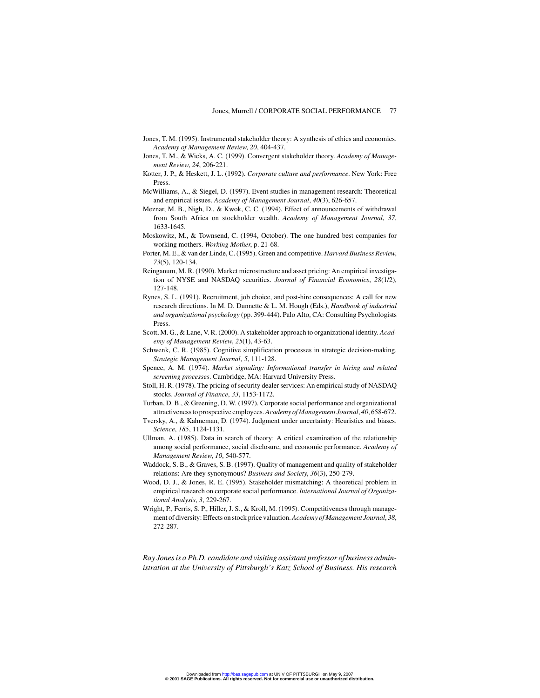- Jones, T. M. (1995). Instrumental stakeholder theory: A synthesis of ethics and economics. *Academy of Management Review*, *20*, 404-437.
- Jones, T. M., & Wicks, A. C. (1999). Convergent stakeholder theory. *Academy of Management Review*, *24*, 206-221.
- Kotter, J. P., & Heskett, J. L. (1992). *Corporate culture and performance*. New York: Free Press.
- McWilliams, A., & Siegel, D. (1997). Event studies in management research: Theoretical and empirical issues. *Academy of Management Journal*, *40*(3), 626-657.
- Meznar, M. B., Nigh, D., & Kwok, C. C. (1994). Effect of announcements of withdrawal from South Africa on stockholder wealth. *Academy of Management Journal*, *37*, 1633-1645.
- Moskowitz, M., & Townsend, C. (1994, October). The one hundred best companies for working mothers. *Working Mother*, p. 21-68.
- Porter, M. E., & van der Linde, C. (1995). Green and competitive. *Harvard Business Review*, *73*(5), 120-134.
- Reinganum, M. R. (1990). Market microstructure and asset pricing: An empirical investigation of NYSE and NASDAQ securities. *Journal of Financial Economics*, *28*(1/2), 127-148.
- Rynes, S. L. (1991). Recruitment, job choice, and post-hire consequences: A call for new research directions. In M. D. Dunnette & L. M. Hough (Eds.), *Handbook of industrial and organizational psychology* (pp. 399-444). Palo Alto, CA: Consulting Psychologists Press.
- Scott, M. G., & Lane, V. R. (2000). A stakeholder approach to organizational identity. *Academy of Management Review*, *25*(1), 43-63.
- Schwenk, C. R. (1985). Cognitive simplification processes in strategic decision-making. *Strategic Management Journal*, *5*, 111-128.
- Spence, A. M. (1974). *Market signaling: Informational transfer in hiring and related screening processes*. Cambridge, MA: Harvard University Press.
- Stoll, H. R. (1978). The pricing of security dealer services: An empirical study of NASDAQ stocks. *Journal of Finance*, *33*, 1153-1172.
- Turban, D. B., & Greening, D. W. (1997). Corporate social performance and organizational attractiveness to prospective employees.*Academy of Management Journal*, *40*, 658-672.
- Tversky, A., & Kahneman, D. (1974). Judgment under uncertainty: Heuristics and biases. *Science*, *185*, 1124-1131.
- Ullman, A. (1985). Data in search of theory: A critical examination of the relationship among social performance, social disclosure, and economic performance. *Academy of Management Review*, *10*, 540-577.
- Waddock, S. B., & Graves, S. B. (1997). Quality of management and quality of stakeholder relations: Are they synonymous? *Business and Society*, *36*(3), 250-279.
- Wood, D. J., & Jones, R. E. (1995). Stakeholder mismatching: A theoretical problem in empirical research on corporate social performance. *International Journal of Organizational Analysis*, *3*, 229-267.
- Wright, P., Ferris, S. P., Hiller, J. S., & Kroll, M. (1995). Competitiveness through management of diversity: Effects on stock price valuation. *Academy of Management Journal*, *38*, 272-287.

*Ray Jones is a Ph.D. candidate and visiting assistant professor of business administration at the University of Pittsburgh's Katz School of Business. His research*